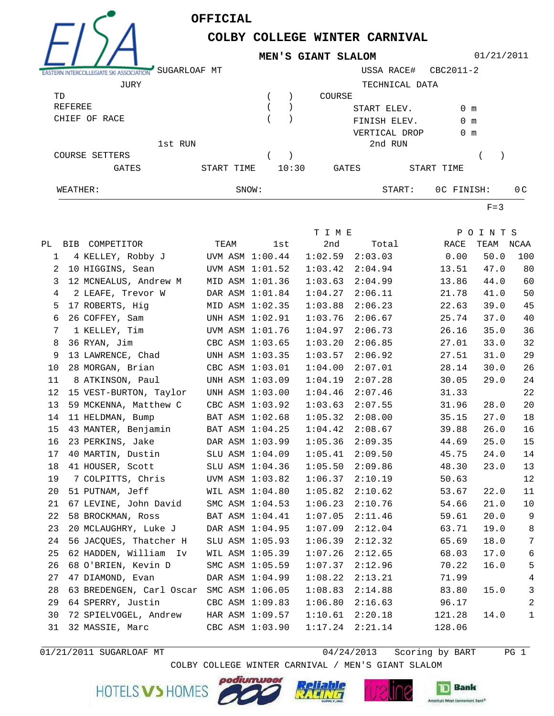**OFFICIAL**



## **COLBY COLLEGE WINTER CARNIVAL MEN'S GIANT SLALOM**

01/21/2011

| <b>ASTERN INTERC</b>  | SUGARLOAF MT |            |  |       |         | USSA RACE#     | CBC2011-2  |               |     |
|-----------------------|--------------|------------|--|-------|---------|----------------|------------|---------------|-----|
| JURY                  |              |            |  |       |         | TECHNICAL DATA |            |               |     |
| TD                    |              |            |  |       | COURSE  |                |            |               |     |
| REFEREE               |              |            |  |       |         | START ELEV.    |            | $0 \text{ m}$ |     |
| CHIEF<br>OF RACE      |              |            |  |       |         | FINISH ELEV.   |            | $0 \text{ m}$ |     |
|                       |              |            |  |       |         | VERTICAL DROP  |            | $0 \text{ m}$ |     |
| 1st RUN               |              |            |  |       | 2nd RUN |                |            |               |     |
| <b>COURSE SETTERS</b> |              |            |  |       |         |                |            |               |     |
| <b>GATES</b>          |              | START TIME |  | 10:30 | GATES   |                | START TIME |               |     |
| WEATHER:              |              | SNOW:      |  |       |         | START:         | OC FINISH: |               | 0 C |

 $F=3$ 

|    |                                   |                 |                 | T I M E |         |        | POINTS    |                |
|----|-----------------------------------|-----------------|-----------------|---------|---------|--------|-----------|----------------|
|    | PL BIB COMPETITOR                 | TEAM            | lst             | 2nd     | Total   | RACE   | TEAM NCAA |                |
| 1  | 4 KELLEY, Robby J UVM ASM 1:00.44 |                 |                 | 1:02.59 | 2:03.03 | 0.00   | 50.0      | 100            |
| 2  | 10 HIGGINS, Sean                  |                 | UVM ASM 1:01.52 | 1:03.42 | 2:04.94 | 13.51  | 47.0      | 80             |
| 3  | 12 MCNEALUS, Andrew M             |                 | MID ASM 1:01.36 | 1:03.63 | 2:04.99 | 13.86  | 44.0      | 60             |
| 4  | 2 LEAFE, Trevor W                 |                 | DAR ASM 1:01.84 | 1:04.27 | 2:06.11 | 21.78  | 41.0      | 50             |
| 5  | 17 ROBERTS, Hig                   |                 | MID ASM 1:02.35 | 1:03.88 | 2:06.23 | 22.63  | 39.0      | 45             |
| 6  | 26 COFFEY, Sam                    |                 | UNH ASM 1:02.91 | 1:03.76 | 2:06.67 | 25.74  | 37.0      | 40             |
| 7  | 1 KELLEY, Tim                     |                 | UVM ASM 1:01.76 | 1:04.97 | 2:06.73 | 26.16  | 35.0      | 36             |
| 8  | 36 RYAN, Jim                      |                 | CBC ASM 1:03.65 | 1:03.20 | 2:06.85 | 27.01  | 33.0      | 32             |
| 9  | 13 LAWRENCE, Chad                 |                 | UNH ASM 1:03.35 | 1:03.57 | 2:06.92 | 27.51  | 31.0      | 29             |
| 10 | 28 MORGAN, Brian                  |                 | CBC ASM 1:03.01 | 1:04.00 | 2:07.01 | 28.14  | 30.0      | 26             |
| 11 | 8 ATKINSON, Paul                  |                 | UNH ASM 1:03.09 | 1:04.19 | 2:07.28 | 30.05  | 29.0      | 24             |
| 12 | 15 VEST-BURTON, Taylor            |                 | UNH ASM 1:03.00 | 1:04.46 | 2:07.46 | 31.33  |           | 22             |
| 13 | 59 MCKENNA, Matthew C             |                 | CBC ASM 1:03.92 | 1:03.63 | 2:07.55 | 31.96  | 28.0      | 20             |
| 14 | 11 HELDMAN, Bump                  |                 | BAT ASM 1:02.68 | 1:05.32 | 2:08.00 | 35.15  | 27.0      | 18             |
| 15 | 43 MANTER, Benjamin               |                 | BAT ASM 1:04.25 | 1:04.42 | 2:08.67 | 39.88  | 26.0      | 16             |
| 16 | 23 PERKINS, Jake                  |                 | DAR ASM 1:03.99 | 1:05.36 | 2:09.35 | 44.69  | 25.0      | 15             |
| 17 | 40 MARTIN, Dustin                 |                 | SLU ASM 1:04.09 | 1:05.41 | 2:09.50 | 45.75  | 24.0      | 14             |
| 18 | 41 HOUSER, Scott                  |                 | SLU ASM 1:04.36 | 1:05.50 | 2:09.86 | 48.30  | 23.0      | 13             |
| 19 | 7 COLPITTS, Chris                 |                 | UVM ASM 1:03.82 | 1:06.37 | 2:10.19 | 50.63  |           | 12             |
| 20 | 51 PUTNAM, Jeff                   |                 | WIL ASM 1:04.80 | 1:05.82 | 2:10.62 | 53.67  | 22.0      | 11             |
| 21 | 67 LEVINE, John David             |                 | SMC ASM 1:04.53 | 1:06.23 | 2:10.76 | 54.66  | 21.0      | 10             |
| 22 | 58 BROCKMAN, Ross                 |                 | BAT ASM 1:04.41 | 1:07.05 | 2:11.46 | 59.61  | 20.0      | 9              |
| 23 | 20 MCLAUGHRY, Luke J              |                 | DAR ASM 1:04.95 | 1:07.09 | 2:12.04 | 63.71  | 19.0      | $\,8\,$        |
| 24 | 56 JACQUES, Thatcher H            |                 | SLU ASM 1:05.93 | 1:06.39 | 2:12.32 | 65.69  | 18.0      | $\sqrt{ }$     |
| 25 | 62 HADDEN, William Iv             |                 | WIL ASM 1:05.39 | 1:07.26 | 2:12.65 | 68.03  | 17.0      | 6              |
| 26 | 68 O'BRIEN, Kevin D               |                 | SMC ASM 1:05.59 | 1:07.37 | 2:12.96 | 70.22  | 16.0      | 5              |
| 27 | 47 DIAMOND, Evan                  |                 | DAR ASM 1:04.99 | 1:08.22 | 2:13.21 | 71.99  |           | $\sqrt{4}$     |
| 28 | 63 BREDENGEN, Carl Oscar          |                 | SMC ASM 1:06.05 | 1:08.83 | 2:14.88 | 83.80  | 15.0      | $\mathfrak{Z}$ |
| 29 | 64 SPERRY, Justin                 |                 | CBC ASM 1:09.83 | 1:06.80 | 2:16.63 | 96.17  |           | $\overline{a}$ |
| 30 | 72 SPIELVOGEL, Andrew             |                 | HAR ASM 1:09.57 | 1:10.61 | 2:20.18 | 121.28 | 14.0      | $\mathbf{1}$   |
| 31 | 32 MASSIE, Marc                   | CBC ASM 1:03.90 |                 | 1:17.24 | 2:21.14 | 128.06 |           |                |
|    |                                   |                 |                 |         |         |        |           |                |

04/24/2013 PG 1 01/21/2011 SUGARLOAF MT Scoring by BART

COLBY COLLEGE WINTER CARNIVAL / MEN'S GIANT SLALOM